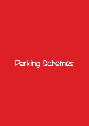# Parking Schemes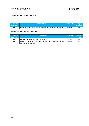

# **Parking schemes included in the UTP;**

| Scheme           | <b>Scheme Name</b>                                                | Timescale | Page          |
|------------------|-------------------------------------------------------------------|-----------|---------------|
| <b>Reference</b> |                                                                   |           | <b>Number</b> |
| PM1              | Improve signage of car parks using matrix signs with live updates | Medium    | 305           |

# **Parking schemes not included in the UTP;**

| <b>Scheme</b><br><b>Reference</b> | <b>Scheme Name</b>                                                                          | <b>Timescale</b> | Page<br><b>Number</b> |
|-----------------------------------|---------------------------------------------------------------------------------------------|------------------|-----------------------|
| PM7                               | Carry out a parking review in Stevenage                                                     | Short            | 304                   |
| PM <sub>8</sub>                   | Provide a dedicated motorcycle parking zone within the existing<br>rail station car parking | Medium           | 307                   |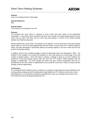

#### **Scheme:**

Carry out a parking review in Stevenage

**Scheme Reference:**  PM7

#### **Scheme Status:**

This scheme is not included in the UTP

#### **Purpose:**

This proposal has come about in response to some issues that were raised at the stakeholder consultation. It was felt by some consultees that there was currently not enough parking within the town centre and by others that there was too much long stay parking. A review of the existing parking situation was therefore proposed.

Having explored this issue further, the pertinent issue appears to be the provision of long stay parking which makes up 72% of the total parking within the town centre. As part of the UTP a specific measure, HM18, has been developed to specifically address the parking regimes in the town centre and limit the amount of long-stay parking.

In addition, there is also a parking strategy in place for Stevenage which was developed in 2004. The ambition of the strategy is to increase the proportion of short stay spaces as a percentage of the total number of parking spaces. Given that there is already a strategy in place to try and re-address the proportion of long stay parking spaces within the town the UTP measure HM18 proposes that this strategy is implemented. Any such changes will need to be given careful consideration when the redevelopment of the town centre is implemented as this would be a key time in which to ensure that the strategy could be implemented.

#### **Conclusions:**

It is considered that the specific issues in relation to car parking in Stevenage have been identified in the existing parking strategy and will be addressed through additional UTP schemes and the town centre redevelopment. It is not therefore considered cost effective to carry out a parking review and as such this scheme will not be developed through the UTP.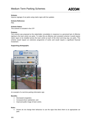

# **Scheme:**

Improve signage of car parks using matrix signs with live updates

**Scheme Reference:**  PM1

#### **Scheme Status:**

This scheme is included in the UTP

# **Purpose:**

This scheme was proposed at the stakeholder consultation in response to a perceived lack of effective signing to the town centre car parks. To make this an effective and consistent scheme it would require matrix signs to be installed across the town centre at each of the short and long stay car parks. This scheme would require an extensive programme of works and would require a significant financial investment.

# **Supporting photographs:**



*An example of a real time parking information sign.* 

#### **Benefits:**

- Decreased congestion;
- Increased driver satisfaction; and
- Improved public image of town centre.

#### **Risks:**

• Drivers do not change their behaviour to use the signs that direct them to an appropriate car park.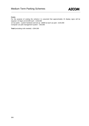

# **Costs:**

For the purpose of costing the scheme it is assumed that approximately 15 display signs will be required. 15 Signs at £10,000 each - £150,000

13 Car parks – system hardware and set up - £8000 at each car park - £104,000 Computer car park management system – £50,000

**Total** (excluding civils needed) - £304,000